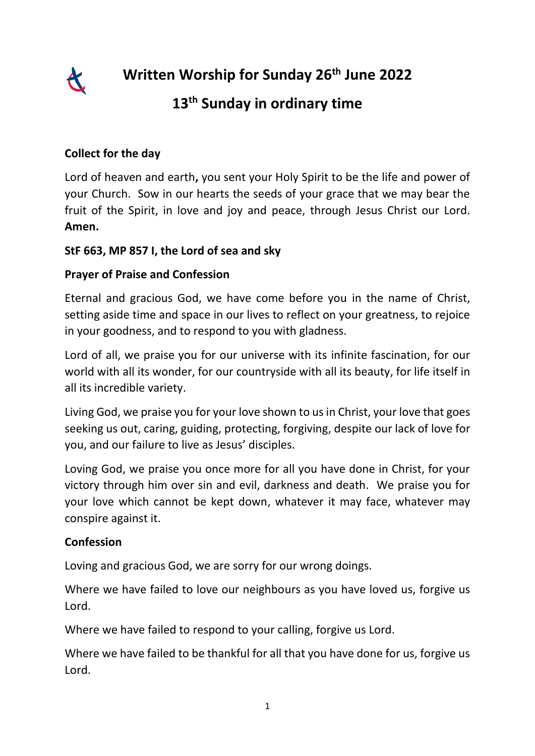

**Written Worship for Sunday 26th June 2022**

# **13th Sunday in ordinary time**

# **Collect for the day**

Lord of heaven and earth**,** you sent your Holy Spirit to be the life and power of your Church. Sow in our hearts the seeds of your grace that we may bear the fruit of the Spirit, in love and joy and peace, through Jesus Christ our Lord. **Amen.**

#### **StF 663, MP 857 I, the Lord of sea and sky**

## **Prayer of Praise and Confession**

Eternal and gracious God, we have come before you in the name of Christ, setting aside time and space in our lives to reflect on your greatness, to rejoice in your goodness, and to respond to you with gladness.

Lord of all, we praise you for our universe with its infinite fascination, for our world with all its wonder, for our countryside with all its beauty, for life itself in all its incredible variety.

Living God, we praise you for your love shown to us in Christ, your love that goes seeking us out, caring, guiding, protecting, forgiving, despite our lack of love for you, and our failure to live as Jesus' disciples.

Loving God, we praise you once more for all you have done in Christ, for your victory through him over sin and evil, darkness and death. We praise you for your love which cannot be kept down, whatever it may face, whatever may conspire against it.

#### **Confession**

Loving and gracious God, we are sorry for our wrong doings.

Where we have failed to love our neighbours as you have loved us, forgive us Lord.

Where we have failed to respond to your calling, forgive us Lord.

Where we have failed to be thankful for all that you have done for us, forgive us Lord.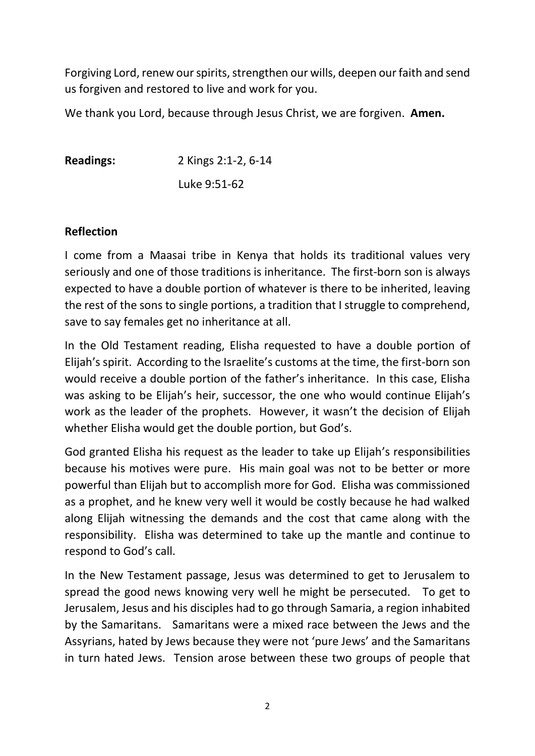Forgiving Lord, renew our spirits, strengthen our wills, deepen our faith and send us forgiven and restored to live and work for you.

We thank you Lord, because through Jesus Christ, we are forgiven. **Amen.**

**Readings:** 2 Kings 2:1-2, 6-14 Luke 9:51-62

#### **Reflection**

I come from a Maasai tribe in Kenya that holds its traditional values very seriously and one of those traditions is inheritance. The first-born son is always expected to have a double portion of whatever is there to be inherited, leaving the rest of the sons to single portions, a tradition that I struggle to comprehend, save to say females get no inheritance at all.

In the Old Testament reading, Elisha requested to have a double portion of Elijah's spirit. According to the Israelite's customs at the time, the first-born son would receive a double portion of the father's inheritance. In this case, Elisha was asking to be Elijah's heir, successor, the one who would continue Elijah's work as the leader of the prophets. However, it wasn't the decision of Elijah whether Elisha would get the double portion, but God's.

God granted Elisha his request as the leader to take up Elijah's responsibilities because his motives were pure. His main goal was not to be better or more powerful than Elijah but to accomplish more for God. Elisha was commissioned as a prophet, and he knew very well it would be costly because he had walked along Elijah witnessing the demands and the cost that came along with the responsibility. Elisha was determined to take up the mantle and continue to respond to God's call.

In the New Testament passage, Jesus was determined to get to Jerusalem to spread the good news knowing very well he might be persecuted. To get to Jerusalem, Jesus and his disciples had to go through Samaria, a region inhabited by the Samaritans. Samaritans were a mixed race between the Jews and the Assyrians, hated by Jews because they were not 'pure Jews' and the Samaritans in turn hated Jews. Tension arose between these two groups of people that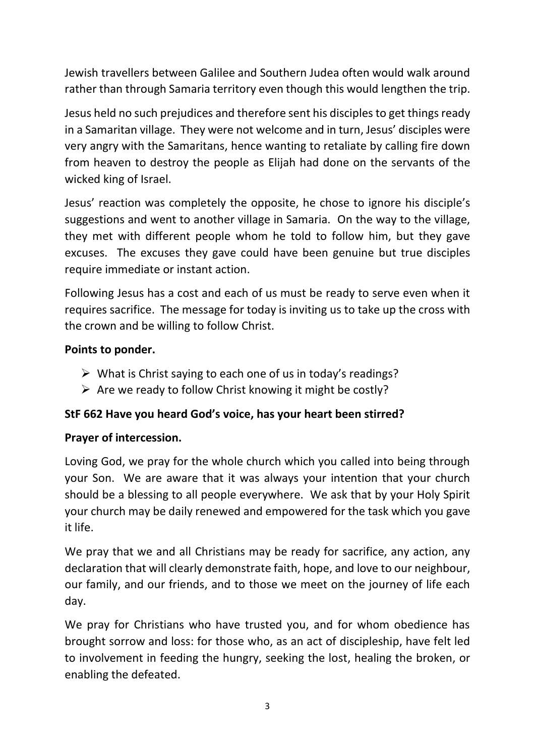Jewish travellers between Galilee and Southern Judea often would walk around rather than through Samaria territory even though this would lengthen the trip.

Jesus held no such prejudices and therefore sent his disciples to get things ready in a Samaritan village. They were not welcome and in turn, Jesus' disciples were very angry with the Samaritans, hence wanting to retaliate by calling fire down from heaven to destroy the people as Elijah had done on the servants of the wicked king of Israel.

Jesus' reaction was completely the opposite, he chose to ignore his disciple's suggestions and went to another village in Samaria. On the way to the village, they met with different people whom he told to follow him, but they gave excuses. The excuses they gave could have been genuine but true disciples require immediate or instant action.

Following Jesus has a cost and each of us must be ready to serve even when it requires sacrifice. The message for today is inviting us to take up the cross with the crown and be willing to follow Christ.

# **Points to ponder.**

- $\triangleright$  What is Christ saying to each one of us in today's readings?
- $\triangleright$  Are we ready to follow Christ knowing it might be costly?

## **StF 662 Have you heard God's voice, has your heart been stirred?**

## **Prayer of intercession.**

Loving God, we pray for the whole church which you called into being through your Son. We are aware that it was always your intention that your church should be a blessing to all people everywhere. We ask that by your Holy Spirit your church may be daily renewed and empowered for the task which you gave it life.

We pray that we and all Christians may be ready for sacrifice, any action, any declaration that will clearly demonstrate faith, hope, and love to our neighbour, our family, and our friends, and to those we meet on the journey of life each day.

We pray for Christians who have trusted you, and for whom obedience has brought sorrow and loss: for those who, as an act of discipleship, have felt led to involvement in feeding the hungry, seeking the lost, healing the broken, or enabling the defeated.